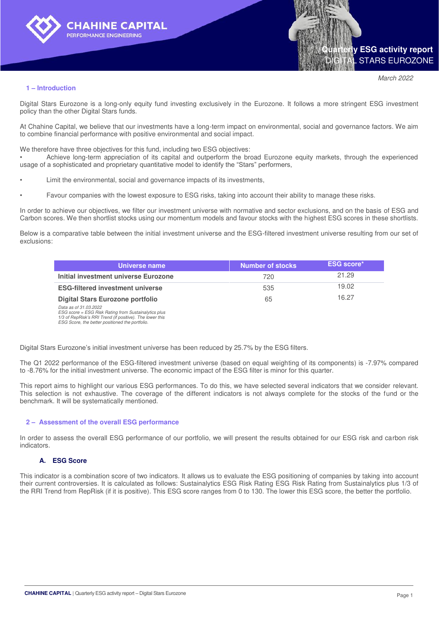



*March 2022*

#### **1 – Introduction**

Digital Stars Eurozone is a long-only equity fund investing exclusively in the Eurozone. It follows a more stringent ESG investment policy than the other Digital Stars funds.

At Chahine Capital, we believe that our investments have a long-term impact on environmental, social and governance factors. We aim to combine financial performance with positive environmental and social impact.

We therefore have three objectives for this fund, including two ESG objectives:

• Achieve long-term appreciation of its capital and outperform the broad Eurozone equity markets, through the experienced usage of a sophisticated and proprietary quantitative model to identify the "Stars" performers,

- Limit the environmental, social and governance impacts of its investments,
- Favour companies with the lowest exposure to ESG risks, taking into account their ability to manage these risks.

In order to achieve our objectives, we filter our investment universe with normative and sector exclusions, and on the basis of ESG and Carbon scores. We then shortlist stocks using our momentum models and favour stocks with the highest ESG scores in these shortlists.

Below is a comparative table between the initial investment universe and the ESG-filtered investment universe resulting from our set of exclusions:

| Universe name                                                               | Number of stocks | <b>ESG score*</b> |
|-----------------------------------------------------------------------------|------------------|-------------------|
| Initial investment universe Eurozone                                        | 720              | 21.29             |
| <b>ESG-filtered investment universe</b>                                     | 535              | 19.02             |
| Digital Stars Eurozone portfolio                                            | 65               | 16.27             |
| Data as of 31.03.2022<br>ECC coore ECC Diek Doting from Cuntainalyties plug |                  |                   |

*ESG score = ESG Risk Rating from Sustainalytics plus 1/3 of RepRisk's RRI Trend (if positive). The lower this ESG Score, the better positioned the portfolio.*

Digital Stars Eurozone's initial investment universe has been reduced by 25.7% by the ESG filters.

The Q1 2022 performance of the ESG-filtered investment universe (based on equal weighting of its components) is -7.97% compared to -8.76% for the initial investment universe. The economic impact of the ESG filter is minor for this quarter.

This report aims to highlight our various ESG performances. To do this, we have selected several indicators that we consider relevant. This selection is not exhaustive. The coverage of the different indicators is not always complete for the stocks of the fund or the benchmark. It will be systematically mentioned.

#### **2 – Assessment of the overall ESG performance**

In order to assess the overall ESG performance of our portfolio, we will present the results obtained for our ESG risk and carbon risk indicators.

#### **A. ESG Score**

This indicator is a combination score of two indicators. It allows us to evaluate the ESG positioning of companies by taking into account their current controversies. It is calculated as follows: Sustainalytics ESG Risk Rating ESG Risk Rating from Sustainalytics plus 1/3 of the RRI Trend from RepRisk (if it is positive). This ESG score ranges from 0 to 130. The lower this ESG score, the better the portfolio.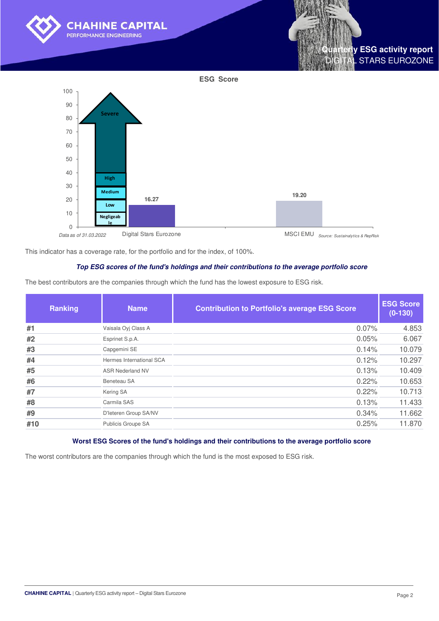

Digital Stars Eurozone

*Data as of 31.03.2022 Source: Sustainalytics & RepRisk*

This indicator has a coverage rate, for the portfolio and for the index, of 100%.

#### **Top ESG scores of the fund's holdings and their contributions to the average portfolio score**

The best contributors are the companies through which the fund has the lowest exposure to ESG risk.

| <b>Name</b>              | <b>Contribution to Portfolio's average ESG Score</b> | <b>ESG Score</b><br>$(0-130)$ |
|--------------------------|------------------------------------------------------|-------------------------------|
| Vaisala Oyj Class A      | 0.07%                                                | 4.853                         |
| Esprinet S.p.A.          | 0.05%                                                | 6.067                         |
| Capgemini SE             | 0.14%                                                | 10.079                        |
| Hermes International SCA | 0.12%                                                | 10.297                        |
| <b>ASR Nederland NV</b>  | 0.13%                                                | 10.409                        |
| Beneteau SA              | 0.22%                                                | 10.653                        |
| Kering SA                | 0.22%                                                | 10.713                        |
| Carmila SAS              | 0.13%                                                | 11.433                        |
| D'Ieteren Group SA/NV    | 0.34%                                                | 11.662                        |
| Publicis Groupe SA       | 0.25%                                                | 11.870                        |
|                          |                                                      |                               |

#### **Worst ESG Scores of the fund's holdings and their contributions to the average portfolio score**

The worst contributors are the companies through which the fund is the most exposed to ESG risk.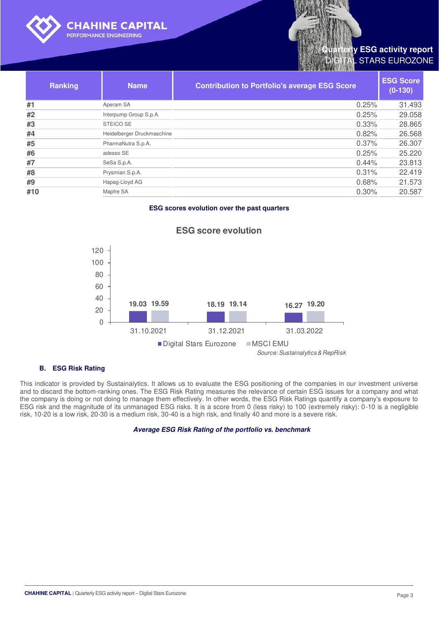

# **y ESG activity report STARS EUROZONE**

| <b>Ranking</b> | <b>Name</b>                | <b>Contribution to Portfolio's average ESG Score</b> | <b>ESG Score</b><br>$(0-130)$ |
|----------------|----------------------------|------------------------------------------------------|-------------------------------|
| #1             | Aperam SA                  | 0.25%                                                | 31.493                        |
| #2             | Interpump Group S.p.A.     | 0.25%                                                | 29.058                        |
| #3             | STEICO SE                  | 0.33%                                                | 28.865                        |
| #4             | Heidelberger Druckmaschine | 0.82%                                                | 26.568                        |
| #5             | PharmaNutra S.p.A.         | 0.37%                                                | 26.307                        |
| #6             | adesso SE                  | 0.25%                                                | 25.220                        |
| #7             | SeSa S.p.A.                | 0.44%                                                | 23.813                        |
| #8             | Prysmian S.p.A.            | 0.31%                                                | 22.419                        |
| #9             | Hapag-Lloyd AG             | 0.68%                                                | 21.573                        |
| #10            | Mapfre SA                  | 0.30%                                                | 20.587                        |

#### **ESG scores evolution over the past quarters**



## **ESG score evolution**

#### **B. ESG Risk Rating**

This indicator is provided by Sustainalytics. It allows us to evaluate the ESG positioning of the companies in our investment universe and to discard the bottom-ranking ones. The ESG Risk Rating measures the relevance of certain ESG issues for a company and what the company is doing or not doing to manage them effectively. In other words, the ESG Risk Ratings quantify a company's exposure to ESG risk and the magnitude of its unmanaged ESG risks. It is a score from 0 (less risky) to 100 (extremely risky): 0-10 is a negligible risk, 10-20 is a low risk, 20-30 is a medium risk, 30-40 is a high risk, and finally 40 and more is a severe risk.

#### **Average ESG Risk Rating of the portfolio vs. benchmark**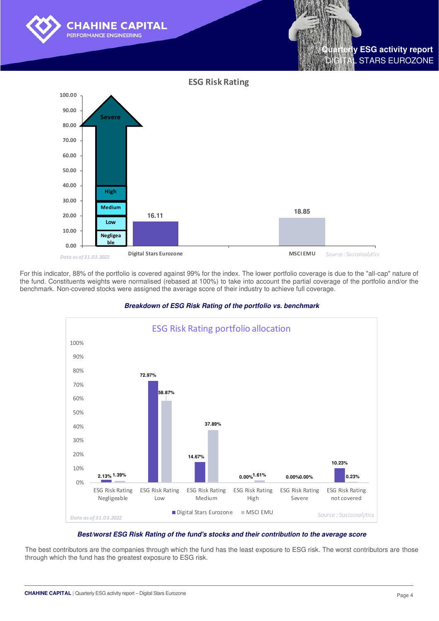



For this indicator, 88% of the portfolio is covered against 99% for the index. The lower portfolio coverage is due to the "all-cap" nature of the fund. Constituents weights were normalised (rebased at 100%) to take into account the partial coverage of the portfolio and/or the benchmark. Non-covered stocks were assigned the average score of their industry to achieve full coverage.



#### **Breakdown of ESG Risk Rating of the portfolio vs. benchmark**

#### **Best/worst ESG Risk Rating of the fund's stocks and their contribution to the average score**

The best contributors are the companies through which the fund has the least exposure to ESG risk. The worst contributors are those through which the fund has the greatest exposure to ESG risk.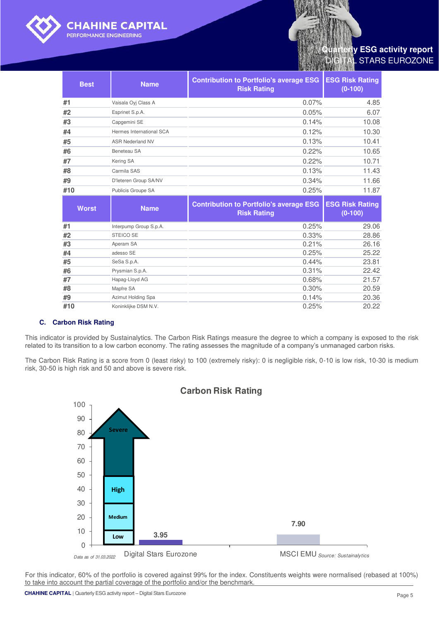

## **y ESG activity report** STARS EUROZONE

| <b>Best</b>  | <b>Name</b>              | <b>Contribution to Portfolio's average ESG</b><br><b>Risk Rating</b> | <b>ESG Risk Rating</b><br>$(0-100)$ |
|--------------|--------------------------|----------------------------------------------------------------------|-------------------------------------|
| #1           | Vaisala Oyj Class A      | 0.07%                                                                | 4.85                                |
| #2           | Esprinet S.p.A.          | 0.05%                                                                | 6.07                                |
| #3           | Capgemini SE             | 0.14%                                                                | 10.08                               |
| #4           | Hermes International SCA | 0.12%                                                                | 10.30                               |
| #5           | <b>ASR Nederland NV</b>  | 0.13%                                                                | 10.41                               |
| #6           | Beneteau SA              | 0.22%                                                                | 10.65                               |
| #7           | Kering SA                | 0.22%                                                                | 10.71                               |
| #8           | Carmila SAS              | 0.13%                                                                | 11.43                               |
| #9           | D'Ieteren Group SA/NV    | 0.34%                                                                | 11.66                               |
| #10          | Publicis Groupe SA       | 0.25%                                                                | 11.87                               |
| <b>Worst</b> | <b>Name</b>              | <b>Contribution to Portfolio's average ESG</b><br><b>Risk Rating</b> | <b>ESG Risk Rating</b><br>$(0-100)$ |
| #1           | Interpump Group S.p.A.   |                                                                      |                                     |
| #2           |                          | 0.25%                                                                | 29.06                               |
|              | <b>STEICO SE</b>         | 0.33%                                                                | 28.86                               |
| #3           | Aperam SA                | 0.21%                                                                | 26.16                               |
| #4           | adesso SE                | 0.25%                                                                | 25.22                               |
| #5           | SeSa S.p.A.              | 0.44%                                                                | 23.81                               |
| #6           | Prysmian S.p.A.          | 0.31%                                                                | 22.42                               |
| #7           | Hapag-Lloyd AG           | 0.68%                                                                | 21.57                               |
| #8           | Mapfre SA                | 0.30%                                                                | 20.59                               |
| #9           | Azimut Holding Spa       | 0.14%                                                                | 20.36<br>20.22                      |

#### **C. Carbon Risk Rating**

This indicator is provided by Sustainalytics. The Carbon Risk Ratings measure the degree to which a company is exposed to the risk related to its transition to a low carbon economy. The rating assesses the magnitude of a company's unmanaged carbon risks.

The Carbon Risk Rating is a score from 0 (least risky) to 100 (extremely risky): 0 is negligible risk, 0-10 is low risk, 10-30 is medium risk, 30-50 is high risk and 50 and above is severe risk.



For this indicator, 60% of the portfolio is covered against 99% for the index. Constituents weights were normalised (rebased at 100%) to take into account the partial coverage of the portfolio and/or the benchmark.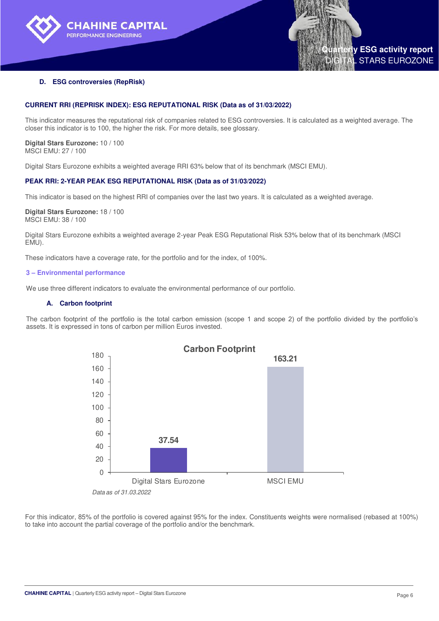



#### **D. ESG controversies (RepRisk)**

#### **CURRENT RRI (REPRISK INDEX): ESG REPUTATIONAL RISK (Data as of 31/03/2022)**

This indicator measures the reputational risk of companies related to ESG controversies. It is calculated as a weighted average. The closer this indicator is to 100, the higher the risk. For more details, see glossary.

**Digital Stars Eurozone:** 10 / 100 MSCI EMU: 27 / 100

Digital Stars Eurozone exhibits a weighted average RRI 63% below that of its benchmark (MSCI EMU).

#### **PEAK RRI: 2-YEAR PEAK ESG REPUTATIONAL RISK (Data as of 31/03/2022)**

This indicator is based on the highest RRI of companies over the last two years. It is calculated as a weighted average.

#### **Digital Stars Eurozone:** 18 / 100 MSCI EMU: 38 / 100

Digital Stars Eurozone exhibits a weighted average 2-year Peak ESG Reputational Risk 53% below that of its benchmark (MSCI EMU).

These indicators have a coverage rate, for the portfolio and for the index, of 100%.

#### **3 – Environmental performance**

We use three different indicators to evaluate the environmental performance of our portfolio.

#### **A. Carbon footprint**

The carbon footprint of the portfolio is the total carbon emission (scope 1 and scope 2) of the portfolio divided by the portfolio's assets. It is expressed in tons of carbon per million Euros invested.



For this indicator, 85% of the portfolio is covered against 95% for the index. Constituents weights were normalised (rebased at 100%) to take into account the partial coverage of the portfolio and/or the benchmark.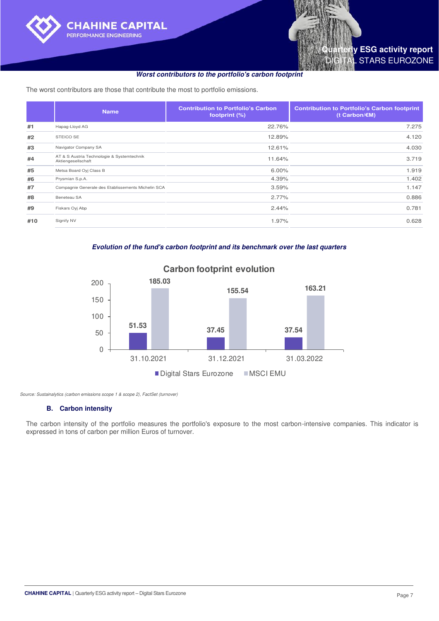

The worst contributors are those that contribute the most to portfolio emissions.

|     | <b>Name</b>                                                      | <b>Contribution to Portfolio's Carbon</b><br>footprint (%) | <b>Contribution to Portfolio's Carbon footprint</b><br>(t Carbon/ $\varepsilon$ M) |
|-----|------------------------------------------------------------------|------------------------------------------------------------|------------------------------------------------------------------------------------|
| #1  | Hapag-Lloyd AG                                                   | 22.76%                                                     | 7.275                                                                              |
| #2  | <b>STEICO SE</b>                                                 | 12.89%                                                     | 4.120                                                                              |
| #3  | Navigator Company SA                                             | 12.61%                                                     | 4.030                                                                              |
| #4  | AT & S Austria Technologie & Systemtechnik<br>Aktiengesellschaft | 11.64%                                                     | 3.719                                                                              |
| #5  | Metsa Board Oyi Class B                                          | 6.00%                                                      | 1.919                                                                              |
| #6  | Prysmian S.p.A.                                                  | 4.39%                                                      | 1.402                                                                              |
| #7  | Compagnie Generale des Etablissements Michelin SCA               | 3.59%                                                      | 1.147                                                                              |
| #8  | Beneteau SA                                                      | 2.77%                                                      | 0.886                                                                              |
| #9  | Fiskars Oyj Abp                                                  | 2.44%                                                      | 0.781                                                                              |
| #10 | Signify NV                                                       | 1.97%                                                      | 0.628                                                                              |

## **Evolution of the fund's carbon footprint and its benchmark over the last quarters**



## **Carbon footprint evolution**

*Source: Sustainalytics (carbon emissions scope 1 & scope 2), FactSet (turnover)* 

#### **B. Carbon intensity**

The carbon intensity of the portfolio measures the portfolio's exposure to the most carbon-intensive companies. This indicator is expressed in tons of carbon per million Euros of turnover.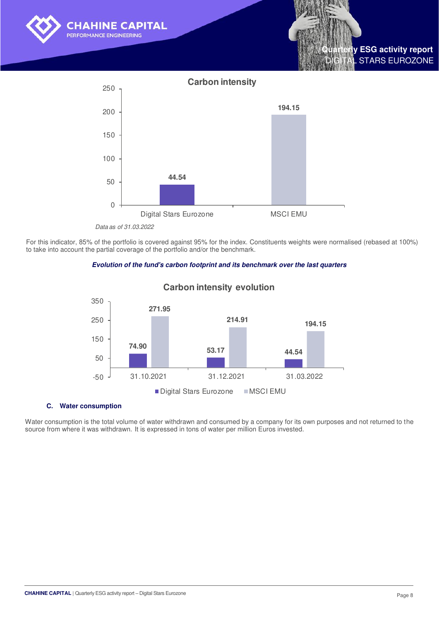



*Data as of 31.03.2022*

For this indicator, 85% of the portfolio is covered against 95% for the index. Constituents weights were normalised (rebased at 100%) to take into account the partial coverage of the portfolio and/or the benchmark.





## **Carbon intensity evolution**

#### **C. Water consumption**

Water consumption is the total volume of water withdrawn and consumed by a company for its own purposes and not returned to the source from where it was withdrawn. It is expressed in tons of water per million Euros invested.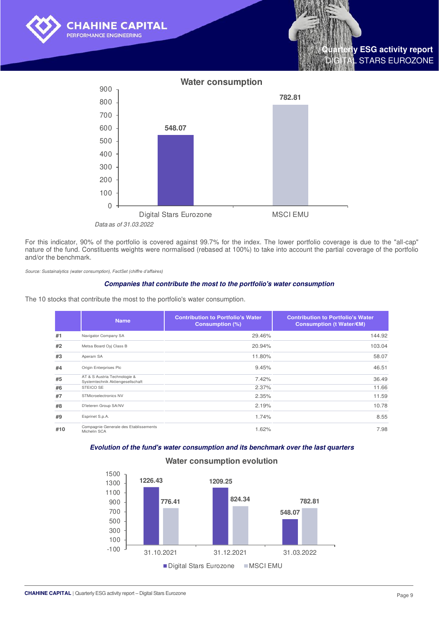





For this indicator, 90% of the portfolio is covered against 99.7% for the index. The lower portfolio coverage is due to the "all-cap" nature of the fund. Constituents weights were normalised (rebased at 100%) to take into account the partial coverage of the portfolio and/or the benchmark.

*Source: Sustainalytics (water consumption), FactSet (chiffre d'affaires)*

#### **Companies that contribute the most to the portfolio's water consumption**

The 10 stocks that contribute the most to the portfolio's water consumption.

|     | <b>Name</b>                                                      | <b>Contribution to Portfolio's Water</b><br><b>Consumption (%)</b> | <b>Contribution to Portfolio's Water</b><br>Consumption (t Water/€M) |
|-----|------------------------------------------------------------------|--------------------------------------------------------------------|----------------------------------------------------------------------|
| #1  | Navigator Company SA                                             | 29.46%                                                             | 144.92                                                               |
| #2  | Metsa Board Oyj Class B                                          | 20.94%                                                             | 103.04                                                               |
| #3  | Aperam SA                                                        | 11.80%                                                             | 58.07                                                                |
| #4  | Origin Enterprises Plc                                           | 9.45%                                                              | 46.51                                                                |
| #5  | AT & S Austria Technologie &<br>Systemtechnik Aktiengesellschaft | 7.42%                                                              | 36.49                                                                |
| #6  | <b>STEICO SE</b>                                                 | 2.37%                                                              | 11.66                                                                |
| #7  | STMicroelectronics NV                                            | 2.35%                                                              | 11.59                                                                |
| #8  | D'Ieteren Group SA/NV                                            | 2.19%                                                              | 10.78                                                                |
| #9  | Esprinet S.p.A.                                                  | 1.74%                                                              | 8.55                                                                 |
| #10 | Compagnie Generale des Etablissements<br>Michelin SCA            | 1.62%                                                              | 7.98                                                                 |

## **Evolution of the fund's water consumption and its benchmark over the last quarters**



#### **Water consumption evolution**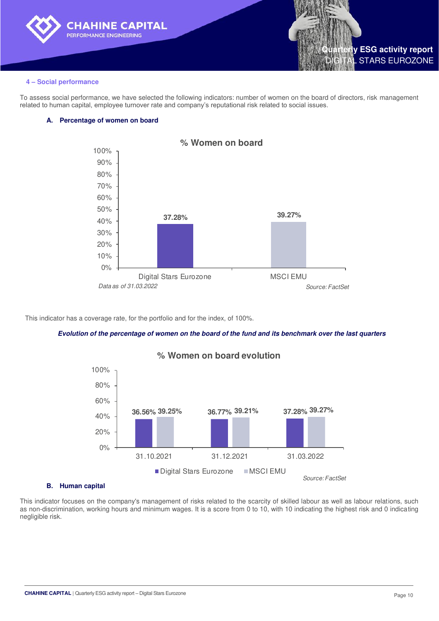



#### **4 – Social performance**

To assess social performance, we have selected the following indicators: number of women on the board of directors, risk management related to human capital, employee turnover rate and company's reputational risk related to social issues.

#### **A. Percentage of women on board**



This indicator has a coverage rate, for the portfolio and for the index, of 100%.

#### **Evolution of the percentage of women on the board of the fund and its benchmark over the last quarters**



## **% Women on board evolution**

#### **B. Human capital**

This indicator focuses on the company's management of risks related to the scarcity of skilled labour as well as labour relations, such as non-discrimination, working hours and minimum wages. It is a score from 0 to 10, with 10 indicating the highest risk and 0 indicating negligible risk.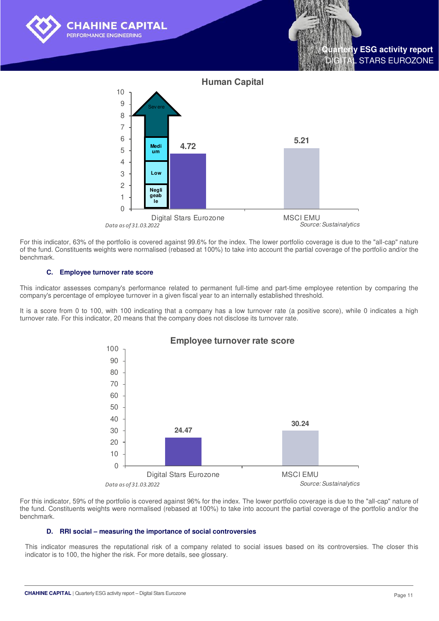



For this indicator, 63% of the portfolio is covered against 99.6% for the index. The lower portfolio coverage is due to the "all-cap" nature of the fund. Constituents weights were normalised (rebased at 100%) to take into account the partial coverage of the portfolio and/or the benchmark.

#### **C. Employee turnover rate score**

This indicator assesses company's performance related to permanent full-time and part-time employee retention by comparing the company's percentage of employee turnover in a given fiscal year to an internally established threshold.

It is a score from 0 to 100, with 100 indicating that a company has a low turnover rate (a positive score), while 0 indicates a high turnover rate. For this indicator, 20 means that the company does not disclose its turnover rate.



For this indicator, 59% of the portfolio is covered against 96% for the index. The lower portfolio coverage is due to the "all-cap" nature of the fund. Constituents weights were normalised (rebased at 100%) to take into account the partial coverage of the portfolio and/or the benchmark.

#### **D. RRI social – measuring the importance of social controversies**

This indicator measures the reputational risk of a company related to social issues based on its controversies. The closer this indicator is to 100, the higher the risk. For more details, see glossary.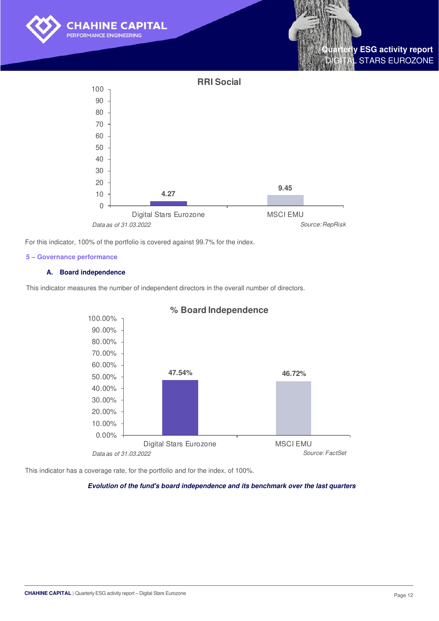





For this indicator, 100% of the portfolio is covered against 99.7% for the index.

#### **5 – Governance performance**

#### **A. Board independence**

This indicator measures the number of independent directors in the overall number of directors.



## **% Board Independence**

This indicator has a coverage rate, for the portfolio and for the index, of 100%.

#### **Evolution of the fund's board independence and its benchmark over the last quarters**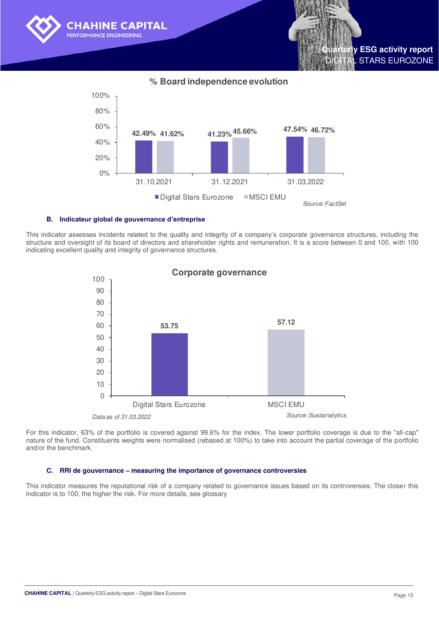

**% Board independence evolution**



#### **B. Indicateur global de gouvernance d'entreprise**

This indicator assesses incidents related to the quality and integrity of a company's corporate governance structures, including the structure and oversight of its board of directors and shareholder rights and remuneration. It is a score between 0 and 100, with 100 indicating excellent quality and integrity of governance structures.



For this indicator, 63% of the portfolio is covered against 99.6% for the index. The lower portfolio coverage is due to the "all-cap" nature of the fund. Constituents weights were normalised (rebased at 100%) to take into account the partial coverage of the portfolio and/or the benchmark.

#### **C. RRI de gouvernance – measuring the importance of governance controversies**

This indicator measures the reputational risk of a company related to governance issues based on its controversies. The closer this indicator is to 100, the higher the risk. For more details, see glossary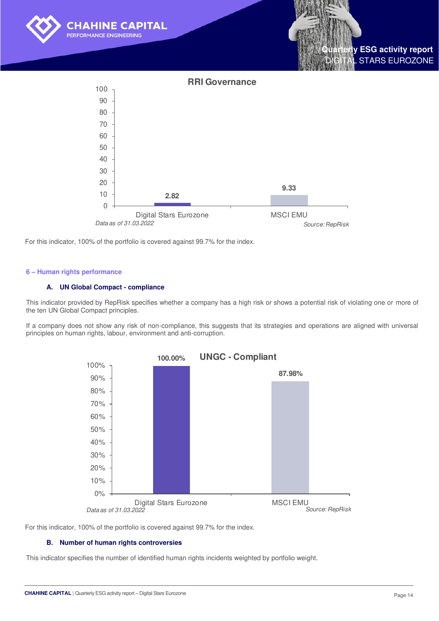

For this indicator, 100% of the portfolio is covered against 99.7% for the index.

#### **6 – Human rights performance**

#### **A. UN Global Compact - compliance**

This indicator provided by RepRisk specifies whether a company has a high risk or shows a potential risk of violating one or more of the ten UN Global Compact principles.

If a company does not show any risk of non-compliance, this suggests that its strategies and operations are aligned with universal principles on human rights, labour, environment and anti-corruption.



For this indicator, 100% of the portfolio is covered against 99.7% for the index.

#### **B. Number of human rights controversies**

This indicator specifies the number of identified human rights incidents weighted by portfolio weight.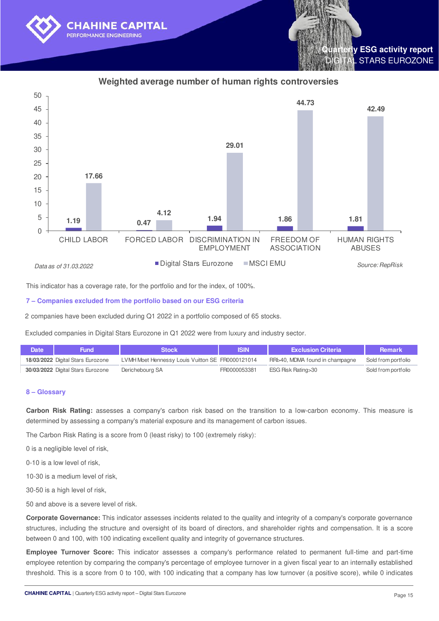





This indicator has a coverage rate, for the portfolio and for the index, of 100%.

#### **7 – Companies excluded from the portfolio based on our ESG criteria**

2 companies have been excluded during Q1 2022 in a portfolio composed of 65 stocks.

Excluded companies in Digital Stars Eurozone in Q1 2022 were from luxury and industry sector.

| <b>Date</b> | Fund                              | Stock                                            | <b>ISIN</b>  | <b>Exclusion Criteria</b>       | Remark              |
|-------------|-----------------------------------|--------------------------------------------------|--------------|---------------------------------|---------------------|
|             | 18/03/2022 Digital Stars Eurozone | LVMH Moet Hennessy Louis Vuitton SE FR0000121014 |              | RRI>40, MDMA found in champagne | Sold from portfolio |
|             | 30/03/2022 Digital Stars Eurozone | Derichebourg SA                                  | FR0000053381 | ESG Risk Rating>30              | Sold from portfolio |

## **8 – Glossary**

**Carbon Risk Rating:** assesses a company's carbon risk based on the transition to a low-carbon economy. This measure is determined by assessing a company's material exposure and its management of carbon issues.

The Carbon Risk Rating is a score from 0 (least risky) to 100 (extremely risky):

0 is a negligible level of risk,

0-10 is a low level of risk,

10-30 is a medium level of risk,

30-50 is a high level of risk.

50 and above is a severe level of risk.

**Corporate Governance:** This indicator assesses incidents related to the quality and integrity of a company's corporate governance structures, including the structure and oversight of its board of directors, and shareholder rights and compensation. It is a score between 0 and 100, with 100 indicating excellent quality and integrity of governance structures.

**Employee Turnover Score:** This indicator assesses a company's performance related to permanent full-time and part-time employee retention by comparing the company's percentage of employee turnover in a given fiscal year to an internally established threshold. This is a score from 0 to 100, with 100 indicating that a company has low turnover (a positive score), while 0 indicates